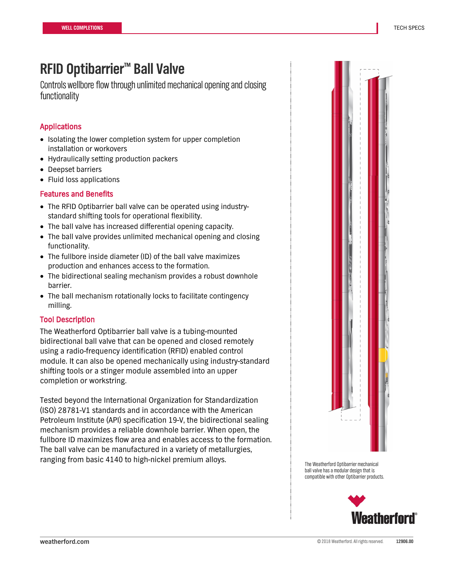## **RFID Optibarrier™ Ball Valve**

Controls wellbore flow through unlimited mechanical opening and closing functionality

### Applications

- Isolating the lower completion system for upper completion installation or workovers
- Hydraulically setting production packers
- Deepset barriers
- Fluid loss applications

#### Features and Benefits

- The RFID Optibarrier ball valve can be operated using industrystandard shifting tools for operational flexibility.
- The ball valve has increased differential opening capacity.
- The ball valve provides unlimited mechanical opening and closing functionality.
- The fullbore inside diameter (ID) of the ball valve maximizes production and enhances access to the formation.
- The bidirectional sealing mechanism provides a robust downhole barrier.
- The ball mechanism rotationally locks to facilitate contingency milling.

#### Tool Description

The Weatherford Optibarrier ball valve is a tubing-mounted bidirectional ball valve that can be opened and closed remotely using a radio-frequency identification (RFID) enabled control module. It can also be opened mechanically using industry-standard shifting tools or a stinger module assembled into an upper completion or workstring.

Tested beyond the International Organization for Standardization (ISO) 28781-V1 standards and in accordance with the American Petroleum Institute (API) specification 19-V, the bidirectional sealing mechanism provides a reliable downhole barrier. When open, the fullbore ID maximizes flow area and enables access to the formation. The ball valve can be manufactured in a variety of metallurgies, ranging from basic 4140 to high-nickel premium alloys.<br>The Weatherford Optibarrier mechanical



ball valve has a modular design that is compatible with other Optibarrier products.